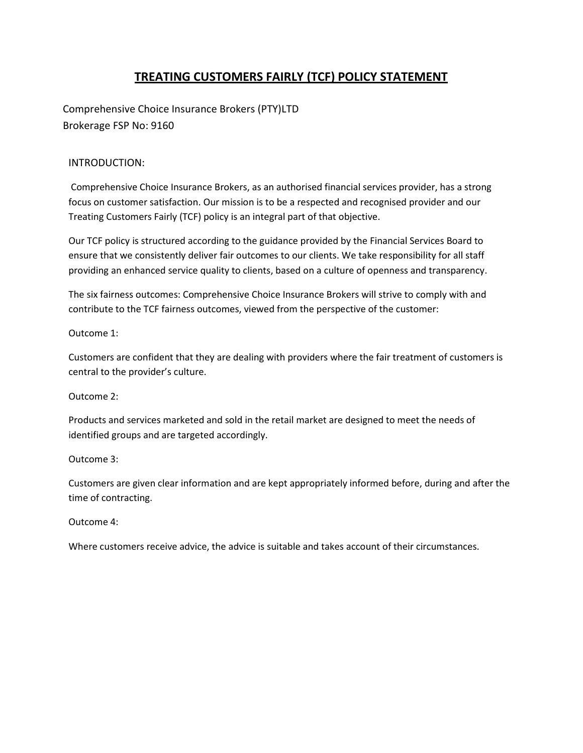# TREATING CUSTOMERS FAIRLY (TCF) POLICY STATEMENT

Comprehensive Choice Insurance Brokers (PTY)LTD Brokerage FSP No: 9160

# INTRODUCTION:

 Comprehensive Choice Insurance Brokers, as an authorised financial services provider, has a strong focus on customer satisfaction. Our mission is to be a respected and recognised provider and our Treating Customers Fairly (TCF) policy is an integral part of that objective.

Our TCF policy is structured according to the guidance provided by the Financial Services Board to ensure that we consistently deliver fair outcomes to our clients. We take responsibility for all staff providing an enhanced service quality to clients, based on a culture of openness and transparency.

The six fairness outcomes: Comprehensive Choice Insurance Brokers will strive to comply with and contribute to the TCF fairness outcomes, viewed from the perspective of the customer:

Outcome 1:

Customers are confident that they are dealing with providers where the fair treatment of customers is central to the provider's culture.

Outcome 2:

Products and services marketed and sold in the retail market are designed to meet the needs of identified groups and are targeted accordingly.

Outcome 3:

Customers are given clear information and are kept appropriately informed before, during and after the time of contracting.

Outcome 4:

Where customers receive advice, the advice is suitable and takes account of their circumstances.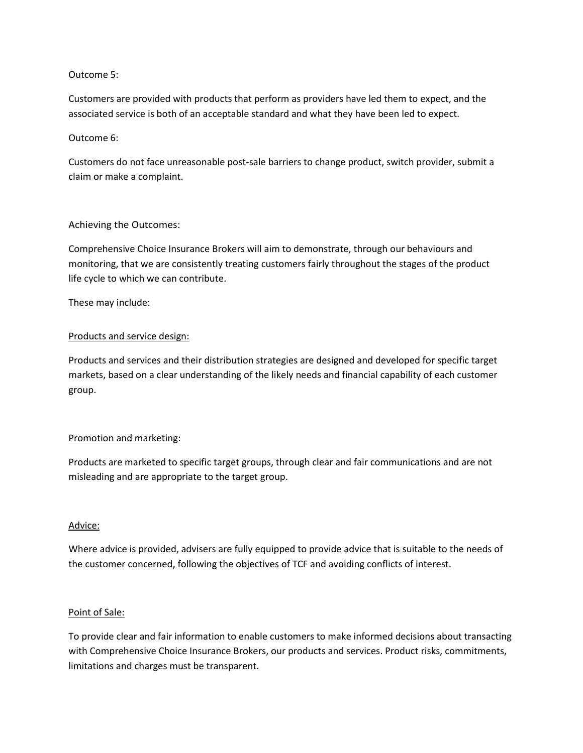#### Outcome 5:

Customers are provided with products that perform as providers have led them to expect, and the associated service is both of an acceptable standard and what they have been led to expect.

#### Outcome 6:

Customers do not face unreasonable post-sale barriers to change product, switch provider, submit a claim or make a complaint.

## Achieving the Outcomes:

Comprehensive Choice Insurance Brokers will aim to demonstrate, through our behaviours and monitoring, that we are consistently treating customers fairly throughout the stages of the product life cycle to which we can contribute.

These may include:

## Products and service design:

Products and services and their distribution strategies are designed and developed for specific target markets, based on a clear understanding of the likely needs and financial capability of each customer group.

#### Promotion and marketing:

Products are marketed to specific target groups, through clear and fair communications and are not misleading and are appropriate to the target group.

#### Advice:

Where advice is provided, advisers are fully equipped to provide advice that is suitable to the needs of the customer concerned, following the objectives of TCF and avoiding conflicts of interest.

#### Point of Sale:

To provide clear and fair information to enable customers to make informed decisions about transacting with Comprehensive Choice Insurance Brokers, our products and services. Product risks, commitments, limitations and charges must be transparent.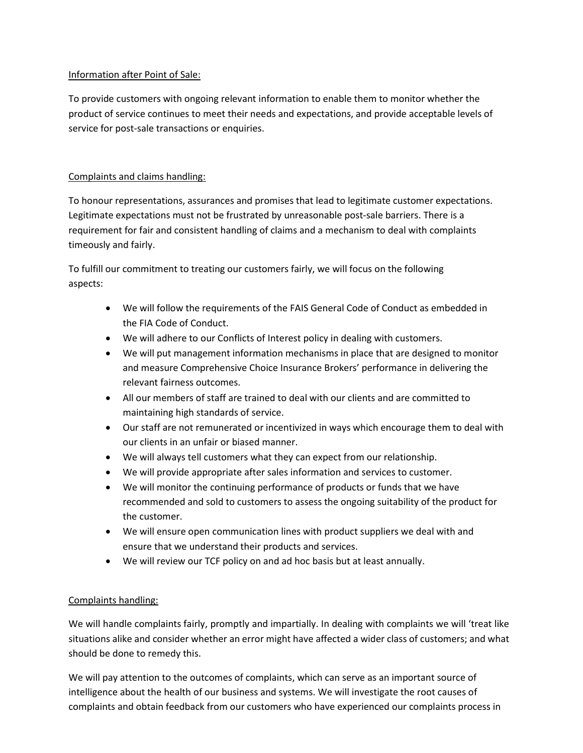## Information after Point of Sale:

To provide customers with ongoing relevant information to enable them to monitor whether the product of service continues to meet their needs and expectations, and provide acceptable levels of service for post-sale transactions or enquiries.

## Complaints and claims handling:

To honour representations, assurances and promises that lead to legitimate customer expectations. Legitimate expectations must not be frustrated by unreasonable post-sale barriers. There is a requirement for fair and consistent handling of claims and a mechanism to deal with complaints timeously and fairly.

To fulfill our commitment to treating our customers fairly, we will focus on the following aspects:

- We will follow the requirements of the FAIS General Code of Conduct as embedded in the FIA Code of Conduct.
- We will adhere to our Conflicts of Interest policy in dealing with customers.
- We will put management information mechanisms in place that are designed to monitor and measure Comprehensive Choice Insurance Brokers' performance in delivering the relevant fairness outcomes.
- All our members of staff are trained to deal with our clients and are committed to maintaining high standards of service.
- Our staff are not remunerated or incentivized in ways which encourage them to deal with our clients in an unfair or biased manner.
- We will always tell customers what they can expect from our relationship.
- We will provide appropriate after sales information and services to customer.
- We will monitor the continuing performance of products or funds that we have recommended and sold to customers to assess the ongoing suitability of the product for the customer.
- We will ensure open communication lines with product suppliers we deal with and ensure that we understand their products and services.
- We will review our TCF policy on and ad hoc basis but at least annually.

# Complaints handling:

We will handle complaints fairly, promptly and impartially. In dealing with complaints we will 'treat like situations alike and consider whether an error might have affected a wider class of customers; and what should be done to remedy this.

We will pay attention to the outcomes of complaints, which can serve as an important source of intelligence about the health of our business and systems. We will investigate the root causes of complaints and obtain feedback from our customers who have experienced our complaints process in